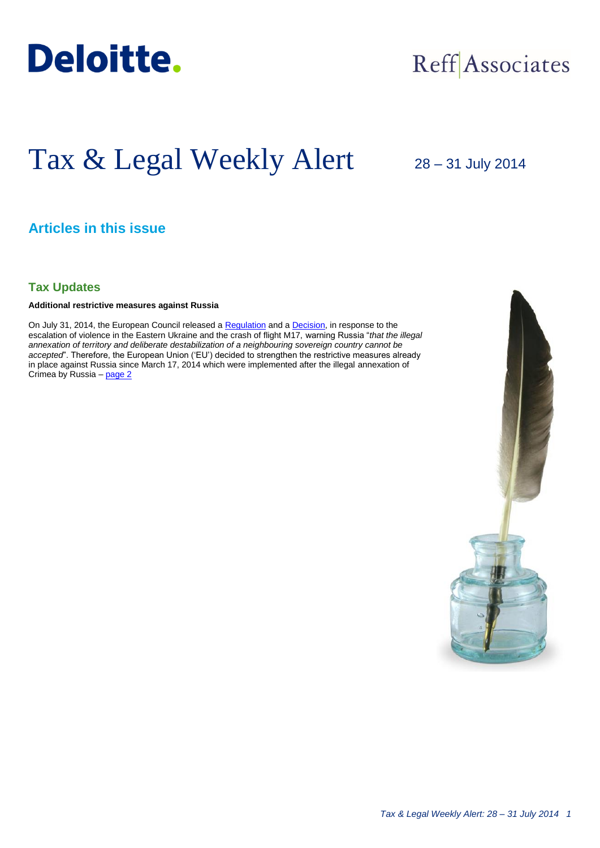

## Reff Associates

# Tax & Legal Weekly Alert

28 – 31 July 2014

## **Articles in this issue**

## **Tax Updates**

## **Additional restrictive measures against Russia**

On July 31, 2014, the European Council released a [Regulation](http://eur-lex.europa.eu/legal-content/EN/TXT/PDF/?uri=OJ:JOL_2014_229_R_0001&from=RO) and a [Decision,](http://eur-lex.europa.eu/legal-content/EN/TXT/PDF/?uri=OJ:JOL_2014_229_R_0003&from=RO) in response to the escalation of violence in the Eastern Ukraine and the crash of flight M17, warning Russia "*that the illegal annexation of territory and deliberate destabilization of a neighbouring sovereign country cannot be accepted*". Therefore, the European Union ('EU') decided to strengthen the restrictive measures already in place against Russia since March 17, 2014 which were implemented after the illegal annexation of Crimea by Russia - [page 2](#page-1-0)

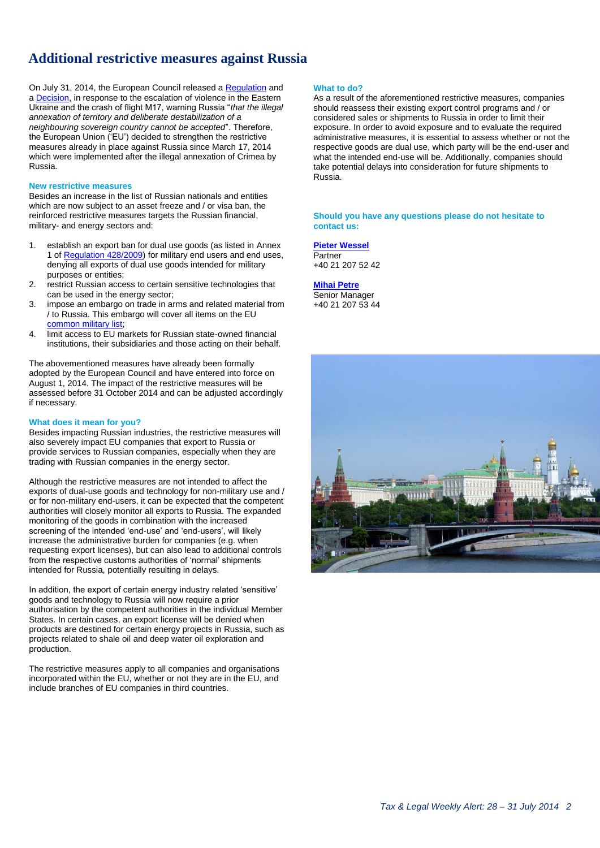## **Additional restrictive measures against Russia**

On July 31, 2014, the European Council released a [Regulation](http://eur-lex.europa.eu/legal-content/EN/TXT/PDF/?uri=OJ:JOL_2014_229_R_0001&from=RO) and a **Decision**, in response to the escalation of violence in the Eastern Ukraine and the crash of flight M17, warning Russia "*that the illegal annexation of territory and deliberate destabilization of a neighbouring sovereign country cannot be accepted*". Therefore, the European Union ('EU') decided to strengthen the restrictive measures already in place against Russia since March 17, 2014 which were implemented after the illegal annexation of Crimea by Russia.

### **New restrictive measures**

Besides an increase in the list of Russian nationals and entities which are now subject to an asset freeze and / or visa ban, the reinforced restrictive measures targets the Russian financial, military- and energy sectors and:

- 1. establish an export ban for dual use goods (as listed in Annex 1 of [Regulation 428/2009\)](http://eur-lex.europa.eu/legal-content/EN/TXT/PDF/?uri=CELEX:02009R0428-20120615&qid=1407147823932&from=RO) for military end users and end uses, denying all exports of dual use goods intended for military purposes or entities;
- 2. restrict Russian access to certain sensitive technologies that can be used in the energy sector;
- 3. impose an embargo on trade in arms and related material from / to Russia. This embargo will cover all items on the EU [common military list;](http://eur-lex.europa.eu/legal-content/EN/TXT/PDF/?uri=CELEX:52014XG0409%2801%29&from=EN)
- 4. limit access to EU markets for Russian state-owned financial institutions, their subsidiaries and those acting on their behalf.

The abovementioned measures have already been formally adopted by the European Council and have entered into force on August 1, 2014. The impact of the restrictive measures will be assessed before 31 October 2014 and can be adjusted accordingly if necessary.

## **What does it mean for you?**

Besides impacting Russian industries, the restrictive measures will also severely impact EU companies that export to Russia or provide services to Russian companies, especially when they are trading with Russian companies in the energy sector.

Although the restrictive measures are not intended to affect the exports of dual-use goods and technology for non-military use and / or for non-military end-users, it can be expected that the competent authorities will closely monitor all exports to Russia. The expanded monitoring of the goods in combination with the increased screening of the intended 'end-use' and 'end-users', will likely increase the administrative burden for companies (e.g. when requesting export licenses), but can also lead to additional controls from the respective customs authorities of 'normal' shipments intended for Russia, potentially resulting in delays.

In addition, the export of certain energy industry related 'sensitive' goods and technology to Russia will now require a prior authorisation by the competent authorities in the individual Member States. In certain cases, an export license will be denied when products are destined for certain energy projects in Russia, such as projects related to shale oil and deep water oil exploration and production.

The restrictive measures apply to all companies and organisations incorporated within the EU, whether or not they are in the EU, and include branches of EU companies in third countries.

### <span id="page-1-0"></span>**What to do?**

As a result of the aforementioned restrictive measures, companies should reassess their existing export control programs and / or considered sales or shipments to Russia in order to limit their exposure. In order to avoid exposure and to evaluate the required administrative measures, it is essential to assess whether or not the respective goods are dual use, which party will be the end-user and what the intended end-use will be. Additionally, companies should take potential delays into consideration for future shipments to Russia.

#### **Should you have any questions please do not hesitate to contact us:**

**[Pieter Wessel](mailto:pwessel@deloittece.com) Partner** +40 21 207 52 42

**[Mihai Petre](mailto:mipetre@deloittece.com)** Senior Manager +40 21 207 53 44